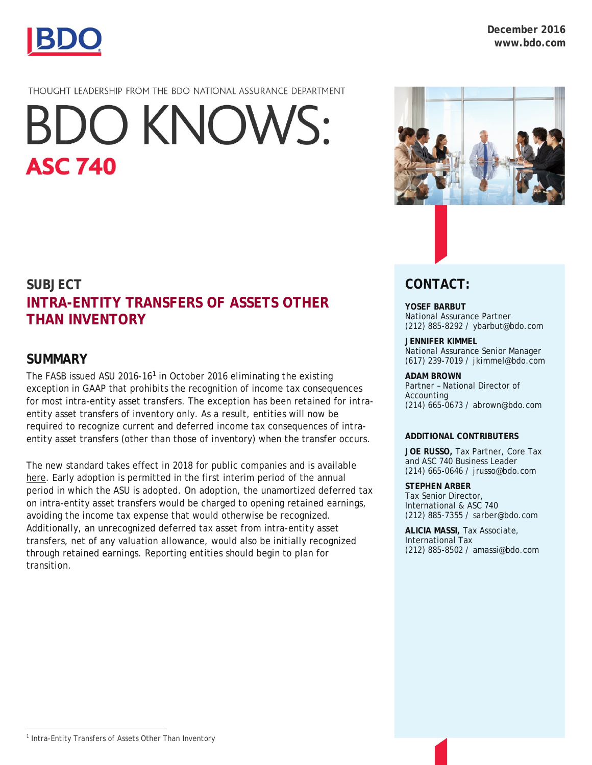

## THOUGHT LEADERSHIP FROM THE BDO NATIONAL ASSURANCE DEPARTMENT

# **BDO KNOWS: ASC 740**

# **SUBJECT INTRA-ENTITY TRANSFERS OF ASSETS OTHER THAN INVENTORY**

# **SUMMARY**

The FASB issued ASU 20[1](#page-0-0)6-16<sup>1</sup> in October 2016 eliminating the existing exception in GAAP that prohibits the recognition of income tax consequences for most intra-entity asset transfers. The exception has been retained for intraentity asset transfers of inventory only. As a result, entities will now be required to recognize current and deferred income tax consequences of intraentity asset transfers (other than those of inventory) when the transfer occurs.

The new standard takes effect in 2018 for public companies and is available [here.](http://www.fasb.org/cs/ContentServer?c=Document_C&pagename=FASB%2FDocument_C%2FDocumentPage&cid=1176168553498) Early adoption is permitted in the first interim period of the annual period in which the ASU is adopted. On adoption, the unamortized deferred tax on intra-entity asset transfers would be charged to opening retained earnings, avoiding the income tax expense that would otherwise be recognized. Additionally, an unrecognized deferred tax asset from intra-entity asset transfers, net of any valuation allowance, would also be initially recognized through retained earnings. Reporting entities should begin to plan for transition.



# **CONTACT:**

#### **YOSEF BARBUT** National Assurance Partner (212) 885-8292 / [ybarbut@bdo.com](mailto:ybarbut@bdo.com)

## **JENNIFER KIMMEL**

National Assurance Senior Manager (617) 239-7019 / [jkimmel@bdo.com](mailto:jkimmel@bdo.com)

#### **ADAM BROWN**

Partner – National Director of Accounting (214) 665-0673 / [abrown@bdo.com](mailto:abrown@bdo.com)

#### **ADDITIONAL CONTRIBUTERS**

**JOE RUSSO,** Tax Partner, Core Tax and ASC 740 Business Leader (214) 665-0646 / [jrusso@bdo.com](mailto:jrusso@bdo.com)

#### **STEPHEN ARBER**

Tax Senior Director, International & ASC 740 (212) 885-7355 / sarber@bdo.com

**ALICIA MASSI,** Tax Associate, International Tax (212) 885-8502 / amassi@bdo.com

l

<span id="page-0-0"></span><sup>&</sup>lt;sup>1</sup> Intra-Entity Transfers of Assets Other Than Inventory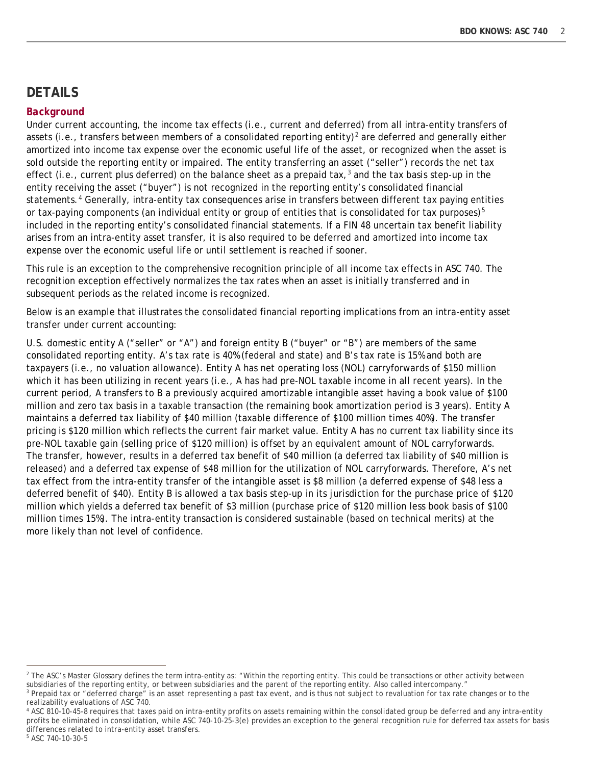# **DETAILS**

#### *Background*

Under current accounting, the income tax effects (i.e., current and deferred) from all intra-entity transfers of assets (i.e., transfers between members of a consolidated reporting entity)<sup>[2](#page-1-0)</sup> are deferred and generally either amortized into income tax expense over the economic useful life of the asset, or recognized when the asset is sold outside the reporting entity or impaired. The entity transferring an asset ("seller") records the net tax effect (i.e., current plus deferred) on the balance sheet as a prepaid tax, $3$  and the tax basis step-up in the entity receiving the asset ("buyer") is not recognized in the reporting entity's consolidated financial statements.<sup>[4](#page-1-2)</sup> Generally, intra-entity tax consequences arise in transfers between different tax paying entities or tax-paying components (an individual entity or group of entities that is consolidated for tax purposes) $5$ included in the reporting entity's consolidated financial statements. If a FIN 48 uncertain tax benefit liability arises from an intra-entity asset transfer, it is also required to be deferred and amortized into income tax expense over the economic useful life or until settlement is reached if sooner.

This rule is an exception to the comprehensive recognition principle of all income tax effects in ASC 740. The recognition exception effectively normalizes the tax rates when an asset is initially transferred and in subsequent periods as the related income is recognized.

Below is an example that illustrates the consolidated financial reporting implications from an intra-entity asset transfer under current accounting:

U.S. domestic entity A ("seller" or "A") and foreign entity B ("buyer" or "B") are members of the same consolidated reporting entity. A's tax rate is 40% (federal and state) and B's tax rate is 15% and both are taxpayers (i.e., no valuation allowance). Entity A has net operating loss (NOL) carryforwards of \$150 million which it has been utilizing in recent years (i.e., A has had pre-NOL taxable income in all recent years). In the current period, A transfers to B a previously acquired amortizable intangible asset having a book value of \$100 million and zero tax basis in a taxable transaction (the remaining book amortization period is 3 years). Entity A maintains a deferred tax liability of \$40 million (taxable difference of \$100 million times 40%). The transfer pricing is \$120 million which reflects the current fair market value. Entity A has no current tax liability since its pre-NOL taxable gain (selling price of \$120 million) is offset by an equivalent amount of NOL carryforwards. The transfer, however, results in a deferred tax benefit of \$40 million (a deferred tax liability of \$40 million is released) and a deferred tax expense of \$48 million for the utilization of NOL carryforwards. Therefore, A's net tax effect from the intra-entity transfer of the intangible asset is \$8 million (a deferred expense of \$48 less a deferred benefit of \$40). Entity B is allowed a tax basis step-up in its jurisdiction for the purchase price of \$120 million which yields a deferred tax benefit of \$3 million (purchase price of \$120 million less book basis of \$100 million times 15%). The intra-entity transaction is considered sustainable (based on technical merits) at the more likely than not level of confidence.

l

<span id="page-1-0"></span><sup>&</sup>lt;sup>2</sup> The ASC's Master Glossary defines the term intra-entity as: "Within the reporting entity. This could be transactions or other activity between subsidiaries of the reporting entity, or between subsidiaries and the parent of the reporting entity. Also called intercompany."

<span id="page-1-1"></span><sup>&</sup>lt;sup>3</sup> Prepaid tax or "deferred charge" is an asset representing a past tax event, and is thus not subject to revaluation for tax rate changes or to the realizability evaluations of ASC 740.

<span id="page-1-3"></span><span id="page-1-2"></span><sup>&</sup>lt;sup>4</sup> ASC 810-10-45-8 requires that taxes paid on intra-entity profits on assets remaining within the consolidated group be deferred and any intra-entity profits be eliminated in consolidation, while ASC 740-10-25-3(e) provides an exception to the general recognition rule for deferred tax assets for basis differences related to intra-entity asset transfers.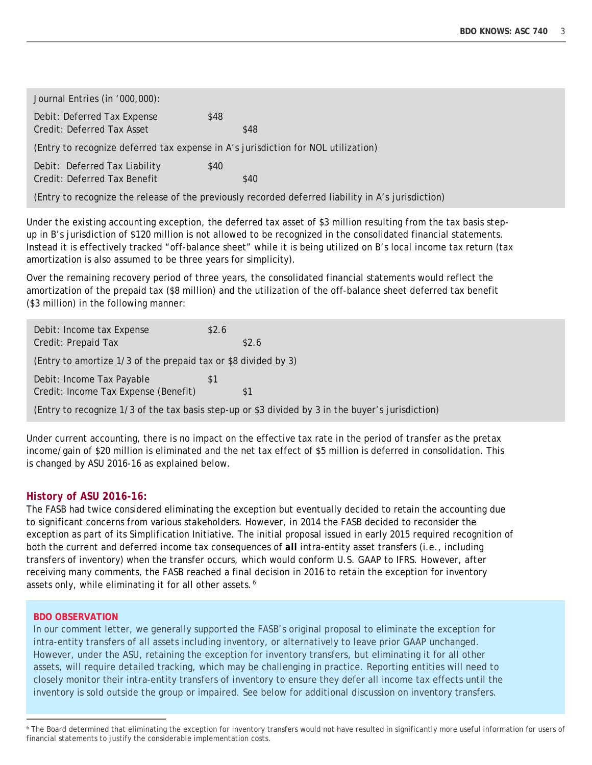Journal Entries (in '000,000): Debit: Deferred Tax Expense \$48 Credit: Deferred Tax Asset \$48 (Entry to recognize deferred tax expense in A's jurisdiction for NOL utilization) Debit: Deferred Tax Liability \$40 Credit: Deferred Tax Benefit  $$40$ (Entry to recognize the release of the previously recorded deferred liability in A's jurisdiction)

Under the existing accounting exception, the deferred tax asset of \$3 million resulting from the tax basis stepup in B's jurisdiction of \$120 million is not allowed to be recognized in the consolidated financial statements. Instead it is effectively tracked "off-balance sheet" while it is being utilized on B's local income tax return (tax amortization is also assumed to be three years for simplicity).

Over the remaining recovery period of three years, the consolidated financial statements would reflect the amortization of the prepaid tax (\$8 million) and the utilization of the off-balance sheet deferred tax benefit (\$3 million) in the following manner:

| Debit: Income tax Expense<br>Credit: Prepaid Tax                                                  | \$2.6 | \$2.6 |  |  |
|---------------------------------------------------------------------------------------------------|-------|-------|--|--|
| (Entry to amortize 1/3 of the prepaid tax or \$8 divided by 3)                                    |       |       |  |  |
| Debit: Income Tax Payable<br>Credit: Income Tax Expense (Benefit)                                 | -51   |       |  |  |
| (Entry to recognize 1/3 of the tax basis step-up or \$3 divided by 3 in the buyer's jurisdiction) |       |       |  |  |

Under current accounting, there is no impact on the effective tax rate in the period of transfer as the pretax income/gain of \$20 million is eliminated and the net tax effect of \$5 million is deferred in consolidation. This is changed by ASU 2016-16 as explained below.

## *History of ASU 2016-16:*

The FASB had twice considered eliminating the exception but eventually decided to retain the accounting due to significant concerns from various stakeholders. However, in 2014 the FASB decided to reconsider the exception as part of its Simplification Initiative. The initial proposal issued in early 2015 required recognition of both the current and deferred income tax consequences of *all* intra-entity asset transfers (i.e., including transfers of inventory) when the transfer occurs, which would conform U.S. GAAP to IFRS. However, after receiving many comments, the FASB reached a final decision in 2016 to retain the exception for inventory assets only, while eliminating it for all other assets.<sup>[6](#page-2-0)</sup>

#### **BDO OBSERVATION**

l

In our comment letter, we generally supported the FASB's original proposal to eliminate the exception for intra-entity transfers of all assets including inventory, or alternatively to leave prior GAAP unchanged. However, under the ASU, retaining the exception for inventory transfers, but eliminating it for all other assets, will require detailed tracking, which may be challenging in practice. Reporting entities will need to closely monitor their intra-entity transfers of inventory to ensure they defer all income tax effects until the inventory is sold outside the group or impaired. See below for additional discussion on inventory transfers.

<span id="page-2-0"></span><sup>&</sup>lt;sup>6</sup> The Board determined that eliminating the exception for inventory transfers would not have resulted in significantly more useful information for users of financial statements to justify the considerable implementation costs.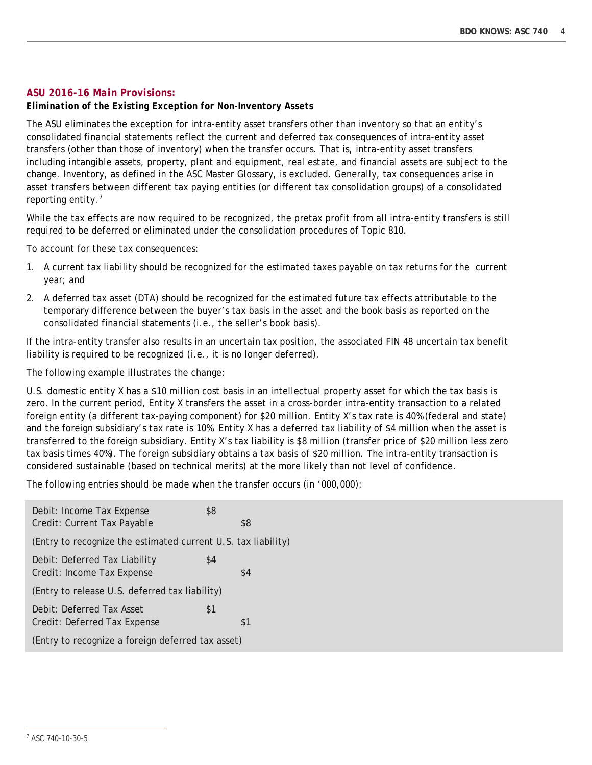#### *ASU 2016-16 Main Provisions:*

#### *Elimination of the Existing Exception for Non-Inventory Assets*

The ASU eliminates the exception for intra-entity asset transfers other than inventory so that an entity's consolidated financial statements reflect the current and deferred tax consequences of intra-entity asset transfers (other than those of inventory) when the transfer occurs. That is, intra-entity asset transfers including intangible assets, property, plant and equipment, real estate, and financial assets are subject to the change. Inventory, as defined in the ASC Master Glossary, is excluded. Generally, tax consequences arise in asset transfers between different tax paying entities (or different tax consolidation groups) of a consolidated reporting entity.[7](#page-3-0)

While the tax effects are now required to be recognized, the pretax profit from all intra-entity transfers is still required to be deferred or eliminated under the consolidation procedures of Topic 810.

To account for these tax consequences:

- 1. A current tax liability should be recognized for the estimated taxes payable on tax returns for the current year; and
- 2. A deferred tax asset (DTA) should be recognized for the estimated future tax effects attributable to the temporary difference between the buyer's tax basis in the asset and the book basis as reported on the consolidated financial statements (i.e., the seller's book basis).

If the intra-entity transfer also results in an uncertain tax position, the associated FIN 48 uncertain tax benefit liability is required to be recognized (i.e., it is no longer deferred).

The following example illustrates the change:

U.S. domestic entity X has a \$10 million cost basis in an intellectual property asset for which the tax basis is zero. In the current period, Entity X transfers the asset in a cross-border intra-entity transaction to a related foreign entity (a different tax-paying component) for \$20 million. Entity X's tax rate is 40% (federal and state) and the foreign subsidiary's tax rate is 10%. Entity X has a deferred tax liability of \$4 million when the asset is transferred to the foreign subsidiary. Entity X's tax liability is \$8 million (transfer price of \$20 million less zero tax basis times 40%). The foreign subsidiary obtains a tax basis of \$20 million. The intra-entity transaction is considered sustainable (based on technical merits) at the more likely than not level of confidence.

The following entries should be made when the transfer occurs (in '000,000):

| Debit: Income Tax Expense<br>Credit: Current Tax Payable      | \$8 | \$8 |  |  |
|---------------------------------------------------------------|-----|-----|--|--|
| (Entry to recognize the estimated current U.S. tax liability) |     |     |  |  |
| Debit: Deferred Tax Liability<br>Credit: Income Tax Expense   | \$4 | \$4 |  |  |
| (Entry to release U.S. deferred tax liability)                |     |     |  |  |
| Debit: Deferred Tax Asset<br>Credit: Deferred Tax Expense     | \$1 | \$1 |  |  |
| (Entry to recognize a foreign deferred tax asset)             |     |     |  |  |

<span id="page-3-0"></span>l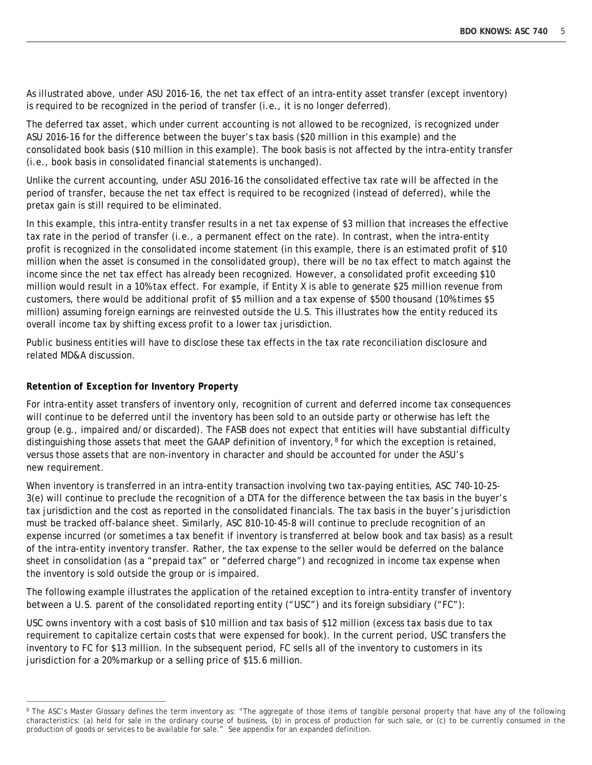As illustrated above, under ASU 2016-16, the net tax effect of an intra-entity asset transfer (except inventory) is required to be recognized in the period of transfer (i.e., it is no longer deferred).

The deferred tax asset, which under current accounting is not allowed to be recognized, is recognized under ASU 2016-16 for the difference between the buyer's tax basis (\$20 million in this example) and the consolidated book basis (\$10 million in this example). The book basis is not affected by the intra-entity transfer (i.e., book basis in consolidated financial statements is unchanged).

Unlike the current accounting, under ASU 2016-16 the consolidated effective tax rate will be affected in the period of transfer, because the net tax effect is required to be recognized (instead of deferred), while the pretax gain is still required to be eliminated.

In this example, this intra-entity transfer results in a net tax expense of \$3 million that increases the effective tax rate in the period of transfer (i.e., a permanent effect on the rate). In contrast, when the intra-entity profit is recognized in the consolidated income statement (in this example, there is an estimated profit of \$10 million when the asset is consumed in the consolidated group), there will be no tax effect to match against the income since the net tax effect has already been recognized. However, a consolidated profit exceeding \$10 million would result in a 10% tax effect. For example, if Entity X is able to generate \$25 million revenue from customers, there would be additional profit of \$5 million and a tax expense of \$500 thousand (10% times \$5 million) assuming foreign earnings are reinvested outside the U.S. This illustrates how the entity reduced its overall income tax by shifting excess profit to a lower tax jurisdiction.

Public business entities will have to disclose these tax effects in the tax rate reconciliation disclosure and related MD&A discussion.

#### *Retention of Exception for Inventory Property*

l

For intra-entity asset transfers of inventory only, recognition of current and deferred income tax consequences will continue to be deferred until the inventory has been sold to an outside party or otherwise has left the group (e.g., impaired and/or discarded). The FASB does not expect that entities will have substantial difficulty distinguishing those assets that meet the GAAP definition of inventory,<sup>[8](#page-4-0)</sup> for which the exception is retained, versus those assets that are non-inventory in character and should be accounted for under the ASU's new requirement.

When inventory is transferred in an intra-entity transaction involving two tax-paying entities, ASC 740-10-25- 3(e) will continue to preclude the recognition of a DTA for the difference between the tax basis in the buyer's tax jurisdiction and the cost as reported in the consolidated financials. The tax basis in the buyer's jurisdiction must be tracked off-balance sheet. Similarly, ASC 810-10-45-8 will continue to preclude recognition of an expense incurred (or sometimes a tax benefit if inventory is transferred at below book and tax basis) as a result of the intra-entity inventory transfer. Rather, the tax expense to the seller would be deferred on the balance sheet in consolidation (as a "prepaid tax" or "deferred charge") and recognized in income tax expense when the inventory is sold outside the group or is impaired.

The following example illustrates the application of the retained exception to intra-entity transfer of inventory between a U.S. parent of the consolidated reporting entity ("USC") and its foreign subsidiary ("FC"):

USC owns inventory with a cost basis of \$10 million and tax basis of \$12 million (excess tax basis due to tax requirement to capitalize certain costs that were expensed for book). In the current period, USC transfers the inventory to FC for \$13 million. In the subsequent period, FC sells all of the inventory to customers in its jurisdiction for a 20% markup or a selling price of \$15.6 million.

<span id="page-4-0"></span><sup>&</sup>lt;sup>8</sup> The ASC's Master Glossary defines the term inventory as: "The aggregate of those items of tangible personal property that have any of the following characteristics: (a) held for sale in the ordinary course of business, (b) in process of production for such sale, or (c) to be currently consumed in the production of goods or services to be available for sale." See appendix for an expanded definition.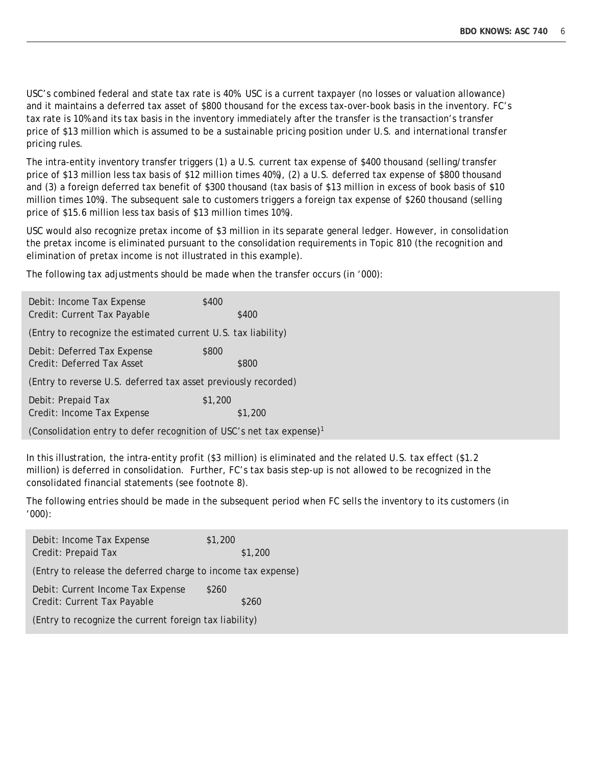USC's combined federal and state tax rate is 40%. USC is a current taxpayer (no losses or valuation allowance) and it maintains a deferred tax asset of \$800 thousand for the excess tax-over-book basis in the inventory. FC's tax rate is 10% and its tax basis in the inventory immediately after the transfer is the transaction's transfer price of \$13 million which is assumed to be a sustainable pricing position under U.S. and international transfer pricing rules.

The intra-entity inventory transfer triggers (1) a U.S. current tax expense of \$400 thousand (selling/transfer price of \$13 million less tax basis of \$12 million times 40%), (2) a U.S. deferred tax expense of \$800 thousand and (3) a foreign deferred tax benefit of \$300 thousand (tax basis of \$13 million in excess of book basis of \$10 million times 10%). The subsequent sale to customers triggers a foreign tax expense of \$260 thousand (selling price of \$15.6 million less tax basis of \$13 million times 10%).

USC would also recognize pretax income of \$3 million in its separate general ledger. However, in consolidation the pretax income is eliminated pursuant to the consolidation requirements in Topic 810 (the recognition and elimination of pretax income is not illustrated in this example).

The following tax adjustments should be made when the transfer occurs (in '000):

| Debit: Income Tax Expense                                                        | \$400   |  |  |  |
|----------------------------------------------------------------------------------|---------|--|--|--|
| Credit: Current Tax Payable                                                      | \$400   |  |  |  |
| (Entry to recognize the estimated current U.S. tax liability)                    |         |  |  |  |
| Debit: Deferred Tax Expense                                                      | \$800   |  |  |  |
| Credit: Deferred Tax Asset                                                       | \$800   |  |  |  |
| (Entry to reverse U.S. deferred tax asset previously recorded)                   |         |  |  |  |
| Debit: Prepaid Tax                                                               | \$1,200 |  |  |  |
| Credit: Income Tax Expense                                                       | \$1,200 |  |  |  |
| (Consolidation entry to defer recognition of USC's net tax expense) <sup>1</sup> |         |  |  |  |

In this illustration, the intra-entity profit (\$3 million) is eliminated and the related U.S. tax effect (\$1.2 million) is deferred in consolidation. Further, FC's tax basis step-up is not allowed to be recognized in the consolidated financial statements (see footnote 8).

The following entries should be made in the subsequent period when FC sells the inventory to its customers (in '000):

| Debit: Income Tax Expense                                    | \$1,200 |
|--------------------------------------------------------------|---------|
| Credit: Prepaid Tax                                          | \$1,200 |
| (Entry to release the deferred charge to income tax expense) |         |
| Debit: Current Income Tax Expense                            | \$260   |
| Credit: Current Tax Payable                                  | \$260   |
| (Entry to recognize the current foreign tax liability)       |         |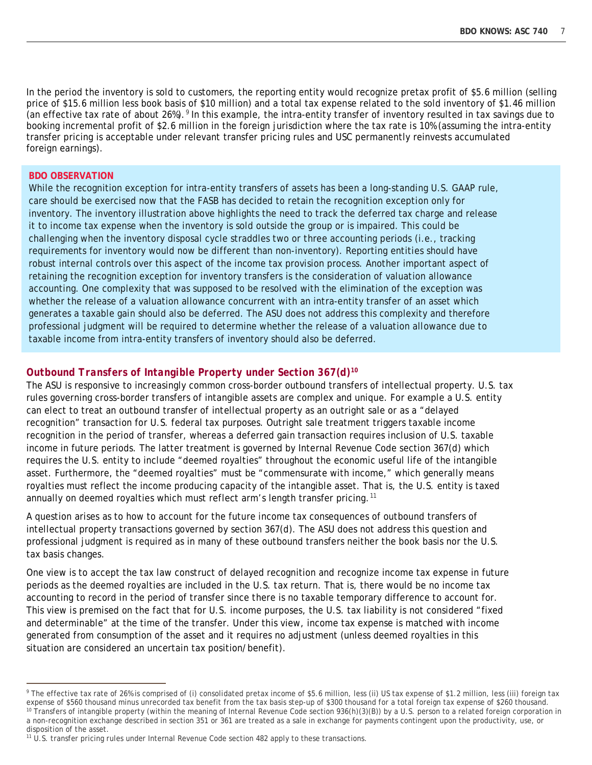In the period the inventory is sold to customers, the reporting entity would recognize pretax profit of \$5.6 million (selling price of \$15.6 million less book basis of \$10 million) and a total tax expense related to the sold inventory of \$1.46 million (an effective tax rate of about 26%).<sup>[9](#page-6-0)</sup> In this example, the intra-entity transfer of inventory resulted in tax savings due to booking incremental profit of \$2.6 million in the foreign jurisdiction where the tax rate is 10% (assuming the intra-entity transfer pricing is acceptable under relevant transfer pricing rules and USC permanently reinvests accumulated foreign earnings).

#### **BDO OBSERVATION**

l

While the recognition exception for intra-entity transfers of assets has been a long-standing U.S. GAAP rule, care should be exercised now that the FASB has decided to retain the recognition exception only for inventory. The inventory illustration above highlights the need to track the deferred tax charge and release it to income tax expense when the inventory is sold outside the group or is impaired. This could be challenging when the inventory disposal cycle straddles two or three accounting periods (i.e., tracking requirements for inventory would now be different than non-inventory). Reporting entities should have robust internal controls over this aspect of the income tax provision process. Another important aspect of retaining the recognition exception for inventory transfers is the consideration of valuation allowance accounting. One complexity that was supposed to be resolved with the elimination of the exception was whether the release of a valuation allowance concurrent with an intra-entity transfer of an asset which generates a taxable gain should also be deferred. The ASU does not address this complexity and therefore professional judgment will be required to determine whether the release of a valuation allowance due to taxable income from intra-entity transfers of inventory should also be deferred.

#### *Outbound Transfers of Intangible Property under Section 367(d)[10](#page-6-1)*

The ASU is responsive to increasingly common cross-border outbound transfers of intellectual property. U.S. tax rules governing cross-border transfers of intangible assets are complex and unique. For example a U.S. entity can elect to treat an outbound transfer of intellectual property as an outright sale or as a "delayed recognition" transaction for U.S. federal tax purposes. Outright sale treatment triggers taxable income recognition in the period of transfer, whereas a deferred gain transaction requires inclusion of U.S. taxable income in future periods. The latter treatment is governed by Internal Revenue Code section 367(d) which requires the U.S. entity to include "deemed royalties" throughout the economic useful life of the intangible asset. Furthermore, the "deemed royalties" must be "commensurate with income," which generally means royalties must reflect the income producing capacity of the intangible asset. That is, the U.S. entity is taxed annually on deemed royalties which must reflect arm's length transfer pricing.<sup>11</sup>

A question arises as to how to account for the future income tax consequences of outbound transfers of intellectual property transactions governed by section 367(d). The ASU does not address this question and professional judgment is required as in many of these outbound transfers neither the book basis nor the U.S. tax basis changes.

One view is to accept the tax law construct of delayed recognition and recognize income tax expense in future periods as the deemed royalties are included in the U.S. tax return. That is, there would be no income tax accounting to record in the period of transfer since there is no taxable temporary difference to account for. This view is premised on the fact that for U.S. income purposes, the U.S. tax liability is not considered "fixed and determinable" at the time of the transfer. Under this view, income tax expense is matched with income generated from consumption of the asset and it requires no adjustment (unless deemed royalties in this situation are considered an uncertain tax position/benefit).

<span id="page-6-1"></span><span id="page-6-0"></span><sup>&</sup>lt;sup>9</sup> The effective tax rate of 26% is comprised of (i) consolidated pretax income of \$5.6 million, less (ii) US tax expense of \$1.2 million, less (iii) foreign tax expense of \$560 thousand minus unrecorded tax benefit from <sup>10</sup> Transfers of intangible property (within the meaning of Internal Revenue Code section 936(h)(3)(B)) by a U.S. person to a related foreign corporation in a non-recognition exchange described in section 351 or 361 are treated as a sale in exchange for payments contingent upon the productivity, use, or disposition of the asset.

<span id="page-6-2"></span><sup>&</sup>lt;sup>11</sup> U.S. transfer pricing rules under Internal Revenue Code section 482 apply to these transactions.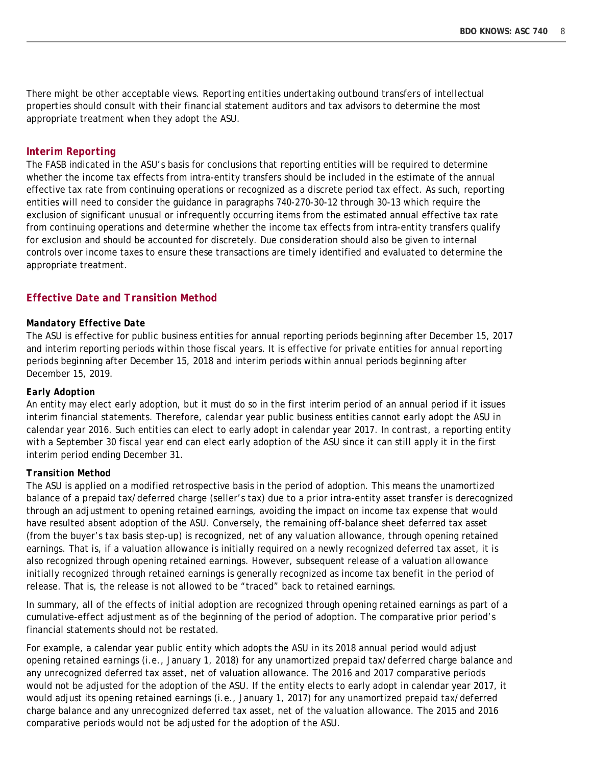There might be other acceptable views. Reporting entities undertaking outbound transfers of intellectual properties should consult with their financial statement auditors and tax advisors to determine the most appropriate treatment when they adopt the ASU.

#### *Interim Reporting*

The FASB indicated in the ASU's basis for conclusions that reporting entities will be required to determine whether the income tax effects from intra-entity transfers should be included in the estimate of the annual effective tax rate from continuing operations or recognized as a discrete period tax effect. As such, reporting entities will need to consider the guidance in paragraphs 740-270-30-12 through 30-13 which require the exclusion of significant unusual or infrequently occurring items from the estimated annual effective tax rate from continuing operations and determine whether the income tax effects from intra-entity transfers qualify for exclusion and should be accounted for discretely. Due consideration should also be given to internal controls over income taxes to ensure these transactions are timely identified and evaluated to determine the appropriate treatment.

### *Effective Date and Transition Method*

#### *Mandatory Effective Date*

The ASU is effective for public business entities for annual reporting periods beginning after December 15, 2017 and interim reporting periods within those fiscal years. It is effective for private entities for annual reporting periods beginning after December 15, 2018 and interim periods within annual periods beginning after December 15, 2019.

#### *Early Adoption*

An entity may elect early adoption, but it must do so in the first interim period of an annual period if it issues interim financial statements. Therefore, calendar year public business entities cannot early adopt the ASU in calendar year 2016. Such entities can elect to early adopt in calendar year 2017. In contrast, a reporting entity with a September 30 fiscal year end can elect early adoption of the ASU since it can still apply it in the first interim period ending December 31.

#### *Transition Method*

The ASU is applied on a modified retrospective basis in the period of adoption. This means the unamortized balance of a prepaid tax/deferred charge (seller's tax) due to a prior intra-entity asset transfer is derecognized through an adjustment to opening retained earnings, avoiding the impact on income tax expense that would have resulted absent adoption of the ASU. Conversely, the remaining off-balance sheet deferred tax asset (from the buyer's tax basis step-up) is recognized, net of any valuation allowance, through opening retained earnings. That is, if a valuation allowance is initially required on a newly recognized deferred tax asset, it is also recognized through opening retained earnings. However, subsequent release of a valuation allowance initially recognized through retained earnings is generally recognized as income tax benefit in the period of release. That is, the release is not allowed to be "traced" back to retained earnings.

In summary, all of the effects of initial adoption are recognized through opening retained earnings as part of a cumulative-effect adjustment as of the beginning of the period of adoption. The comparative prior period's financial statements should not be restated.

For example, a calendar year public entity which adopts the ASU in its 2018 annual period would adjust opening retained earnings (i.e., January 1, 2018) for any unamortized prepaid tax/deferred charge balance and any unrecognized deferred tax asset, net of valuation allowance. The 2016 and 2017 comparative periods would not be adjusted for the adoption of the ASU. If the entity elects to early adopt in calendar year 2017, it would adjust its opening retained earnings (i.e., January 1, 2017) for any unamortized prepaid tax/deferred charge balance and any unrecognized deferred tax asset, net of the valuation allowance. The 2015 and 2016 comparative periods would not be adjusted for the adoption of the ASU.